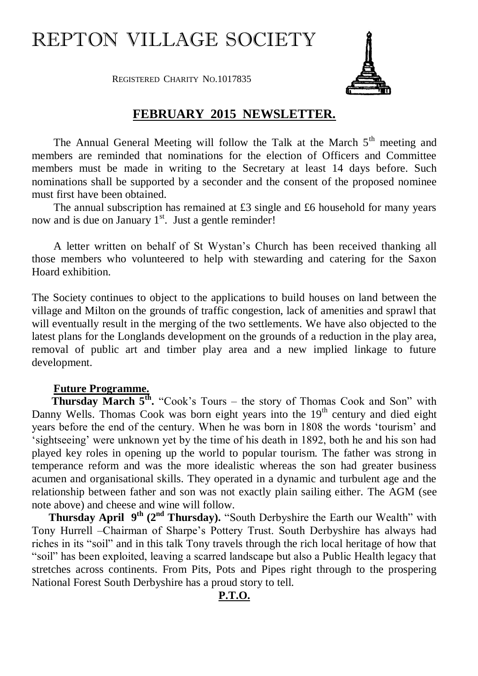## REPTON VILLAGE SOCIETY

REGISTERED CHARITY NO.1017835



## **FEBRUARY 2015 NEWSLETTER.**

The Annual General Meeting will follow the Talk at the March  $5<sup>th</sup>$  meeting and members are reminded that nominations for the election of Officers and Committee members must be made in writing to the Secretary at least 14 days before. Such nominations shall be supported by a seconder and the consent of the proposed nominee must first have been obtained.

The annual subscription has remained at £3 single and £6 household for many years now and is due on January  $1<sup>st</sup>$ . Just a gentle reminder!

A letter written on behalf of St Wystan's Church has been received thanking all those members who volunteered to help with stewarding and catering for the Saxon Hoard exhibition.

The Society continues to object to the applications to build houses on land between the village and Milton on the grounds of traffic congestion, lack of amenities and sprawl that will eventually result in the merging of the two settlements. We have also objected to the latest plans for the Longlands development on the grounds of a reduction in the play area, removal of public art and timber play area and a new implied linkage to future development.

## **Future Programme.**

**Thursday March 5<sup>th</sup>.** "Cook's Tours – the story of Thomas Cook and Son" with Danny Wells. Thomas Cook was born eight years into the  $19<sup>th</sup>$  century and died eight years before the end of the century. When he was born in 1808 the words 'tourism' and 'sightseeing' were unknown yet by the time of his death in 1892, both he and his son had played key roles in opening up the world to popular tourism. The father was strong in temperance reform and was the more idealistic whereas the son had greater business acumen and organisational skills. They operated in a dynamic and turbulent age and the relationship between father and son was not exactly plain sailing either. The AGM (see note above) and cheese and wine will follow.

**Thursday April 9<sup>th</sup> (2<sup>nd</sup> Thursday).** "South Derbyshire the Earth our Wealth" with Tony Hurrell –Chairman of Sharpe's Pottery Trust. South Derbyshire has always had riches in its "soil" and in this talk Tony travels through the rich local heritage of how that "soil" has been exploited, leaving a scarred landscape but also a Public Health legacy that stretches across continents. From Pits, Pots and Pipes right through to the prospering National Forest South Derbyshire has a proud story to tell.

## **P.T.O.**